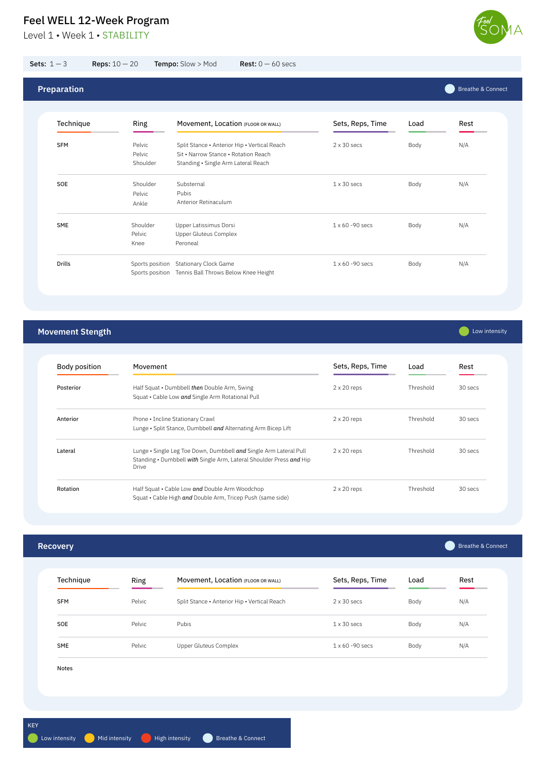Level 1 • Week 1 • STABILITY



| <b>Recovery</b> |        |                                              |                         |      | <b>Breathe &amp; Connect</b> |
|-----------------|--------|----------------------------------------------|-------------------------|------|------------------------------|
| Technique       | Ring   | Movement, Location (FLOOR OR WALL)           | Sets, Reps, Time        | Load | Rest                         |
| <b>SFM</b>      | Pelvic | Split Stance • Anterior Hip • Vertical Reach | $2 \times 30$ secs      | Body | N/A                          |
| SOE             | Pelvic | Pubis                                        | $1 \times 30$ secs      | Body | N/A                          |
| SME             | Pelvic | Upper Gluteus Complex                        | $1 \times 60 - 90$ secs | Body | N/A                          |
| Notes           |        |                                              |                         |      |                              |

**Cow** intensity

## **Movement Stength**

Rotation **Example 2** x 20 reps and Double Arm Woodchop **Proport Contains the Cable Low and Double Arm Woodchop** Squat • Cable High *and* Double Arm, Tricep Push (same side) Threshold 30 secs Body position Posterior Movement Half Squat • Dumbbell *then* Double Arm, Swing Squat • Cable Low *and* Single Arm Rotational Pull 2 x 20 reps Threshold 30 secs Anterior **Prone • Incline Stationary Crawl Prone 11 and 2 x 20 reps** Threshold 30 secs Lunge • Split Stance, Dumbbell *and* Alternating Arm Bicep Lift Lateral **and Music Arm Lateral Condomic Condomic Condomic Condomic Condomic Condomic Some Some Some Some Some So** Standing • Dumbbell *with* Single Arm, Lateral Shoulder Press *and* Hip Drive Sets, Reps, Time Load Rest

| Technique<br>Sets, Reps, Time<br>Movement, Location (FLOOR OR WALL)<br>Ring<br>Load<br><b>SFM</b><br>Pelvic<br>Split Stance • Anterior Hip • Vertical Reach<br>$2 \times 30$ secs<br>Body<br>Pelvic<br>Sit • Narrow Stance • Rotation Reach<br>Shoulder<br>Standing • Single Arm Lateral Reach<br>Shoulder<br>Substernal<br>$1 \times 30$ secs<br>Body<br>Pubis<br>Pelvic<br>Anterior Retinaculum<br>Ankle<br>Shoulder<br>Upper Latissimus Dorsi<br>$1 \times 60 - 90$ secs<br>Body | <b>Preparation</b> |  |  | <b>Breathe &amp; Connect</b> |
|-------------------------------------------------------------------------------------------------------------------------------------------------------------------------------------------------------------------------------------------------------------------------------------------------------------------------------------------------------------------------------------------------------------------------------------------------------------------------------------|--------------------|--|--|------------------------------|
|                                                                                                                                                                                                                                                                                                                                                                                                                                                                                     |                    |  |  | Rest                         |
| SOE<br><b>SME</b>                                                                                                                                                                                                                                                                                                                                                                                                                                                                   |                    |  |  | N/A                          |
|                                                                                                                                                                                                                                                                                                                                                                                                                                                                                     |                    |  |  | N/A                          |
| <b>Upper Gluteus Complex</b><br>Pelvic<br>Peroneal<br>Knee                                                                                                                                                                                                                                                                                                                                                                                                                          |                    |  |  | N/A                          |

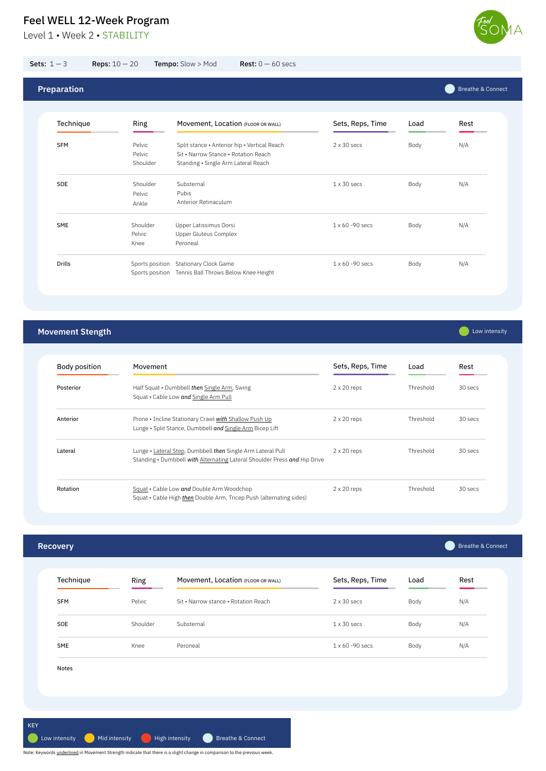Level 1 • Week 2 • STABILITY



**Recovery** Technique Ring Sets, Reps, Time Load Movement, Location (FLOOR OR WALL) Sets, Reps, Time Load Rest Breathe & Connect

|            | "סייי    | <b>THOVOILLOIL, LOOGLIOII</b> (FLOOR OR WALL) |                         | -oau | .   |
|------------|----------|-----------------------------------------------|-------------------------|------|-----|
| <b>SFM</b> | Pelvic   | Sit • Narrow stance • Rotation Reach          | $2 \times 30$ secs      | Body | N/A |
| SOE        | Shoulder | Substernal                                    | $1 \times 30$ secs      | Body | N/A |
| SME        | Knee     | Peroneal                                      | $1 \times 60 - 90$ secs | Body | N/A |
| Notes      |          |                                               |                         |      |     |
|            |          |                                               |                         |      |     |

## **Movement Stength**

**Compare Strategier** Low intensity

| Movement                                                                                                                                 | Sets, Reps, Time   | Load      | Rest    |
|------------------------------------------------------------------------------------------------------------------------------------------|--------------------|-----------|---------|
| Half Squat • Dumbbell then Single Arm, Swing<br>Squat • Cable Low and Single Arm Pull                                                    | $2 \times 20$ reps | Threshold | 30 secs |
| Prone • Incline Stationary Crawl <i>with</i> Shallow Push Up<br>Lunge • Split Stance, Dumbbell and Single Arm Bicep Lift                 | $2 \times 20$ reps | Threshold | 30 secs |
| Lunge • Lateral Step, Dumbbell then Single Arm Lateral Pull<br>Standing • Dumbbell with Alternating Lateral Shoulder Press and Hip Drive | $2 \times 20$ reps | Threshold | 30 secs |
| Squat . Cable Low and Double Arm Woodchop<br>Squat • Cable High <i>then</i> Double Arm, Tricep Push (alternating sides)                  | $2 \times 20$ reps | Threshold | 30 secs |
|                                                                                                                                          |                    |           |         |

| Sets: $1-3$        | <b>Reps:</b> $10 - 20$       | Tempo: Slow > Mod<br><b>Rest:</b> $0 - 60$ secs                                                                             |                    |      |                              |
|--------------------|------------------------------|-----------------------------------------------------------------------------------------------------------------------------|--------------------|------|------------------------------|
| <b>Preparation</b> |                              |                                                                                                                             |                    |      | <b>Breathe &amp; Connect</b> |
| Technique          | Ring                         | Movement, Location (FLOOR OR WALL)                                                                                          | Sets, Reps, Time   | Load | Rest                         |
| <b>SFM</b>         | Pelvic<br>Pelvic<br>Shoulder | Split stance • Anterior hip • Vertical Reach<br>Sit • Narrow Stance • Rotation Reach<br>Standing • Single Arm Lateral Reach | $2 \times 30$ secs | Body | N/A                          |
| SOE                | Shoulder<br>Pelvic<br>Ankle  | Substernal<br>Pubis<br>Anterior Retinaculum                                                                                 | $1 \times 30$ secs | Body | N/A                          |
| SME                | Shoulder<br>Pelvic<br>Knee   | Upper Latissimus Dorsi<br><b>Upper Gluteus Complex</b><br>Peroneal                                                          | 1 x 60 - 90 secs   | Body | N/A                          |
| <b>Drills</b>      |                              | Sports position Stationary Clock Game<br>Sports position Tennis Ball Throws Below Knee Height                               | 1 x 60 - 90 secs   | Body | N/A                          |

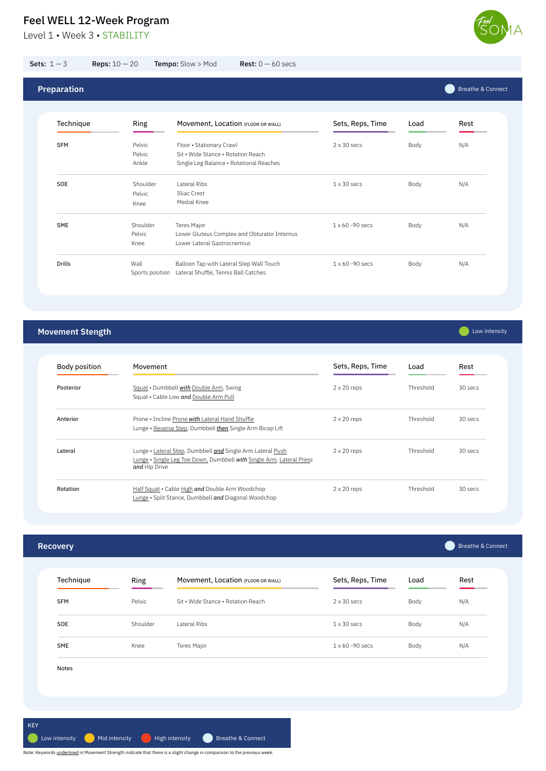Level 1 · Week 3 · STABILITY



**Recovery**

Movement, Location (FLOOR OR WALL) Sets, Reps, Time Load Rest

Load

**Company** Low intensity

| noonningao | "טייי    | <b>THOVEHICITY, EUGATION</b> (FLOOR OR WALL) | 0000, 1000, 1000        | Luu  | .   |
|------------|----------|----------------------------------------------|-------------------------|------|-----|
| <b>SFM</b> | Pelvic   | Sit • Wide Stance • Rotation Reach           | $2 \times 30$ secs      | Body | N/A |
| SOE        | Shoulder | Lateral Ribs                                 | $1 \times 30$ secs      | Body | N/A |
| SME        | Knee     | Teres Major                                  | $1 \times 60 - 90$ secs | Body | N/A |
| Notes      |          |                                              |                         |      |     |
|            |          |                                              |                         |      |     |
|            |          |                                              |                         |      |     |

Breathe & Connect

## **Movement Stength**

Rotation **Example 2** x 20 reps (Half Squat • Cable High and Double Arm Woodchop Lunge • Split Stance, Dumbbell *and* Diagonal Woodchop Threshold 30 secs Body position Posterior Movement Squat • Dumbbell *with* Double Arm, Swing Squat • Cable Low and **Double Arm Pull** 2 x 20 reps Threshold 30 secs Anterior **Prone • Incline Prone with Lateral Hand Shuffle** 2 x 20 reps Threshold 30 secs Lunge • Reverse Step, Dumbbell *then* Single Arm Bicep Lift Lateral **External Cunge •** Lateral Step, Dumbbell **and** Single Arm Lateral Push 2 x 20 reps Threshold 30 secs Lunge • Single Leg Toe Down, Dumbbell *with* Single Arm, Lateral Press *and* Hip Drive Sets, Reps, Time Load Rest

|  |  | the contract of the contract of the contract of the contract of the contract of the contract of the contract of |
|--|--|-----------------------------------------------------------------------------------------------------------------|
|  |  |                                                                                                                 |
|  |  |                                                                                                                 |

Technique Ring

|            |                            |                                                                                                           |                         |      | <b>Breathe &amp; Connect</b> |
|------------|----------------------------|-----------------------------------------------------------------------------------------------------------|-------------------------|------|------------------------------|
| Technique  | Ring                       | Movement, Location (FLOOR OR WALL)                                                                        | Sets, Reps, Time        | Load | Rest                         |
| <b>SFM</b> | Pelvic<br>Pelvic<br>Ankle  | Floor . Stationary Crawl<br>Sit • Wide Stance • Rotation Reach<br>Single Leg Balance . Rotational Reaches | $2 \times 30$ secs      | Body | N/A                          |
| SOE        | Shoulder<br>Pelvic<br>Knee | <b>Lateral Ribs</b><br><b>Illiac Crest</b><br>Medial Knee                                                 | $1 \times 30$ secs      | Body | N/A                          |
| <b>SME</b> | Shoulder<br>Pelvic<br>Knee | <b>Teres Major</b><br>Lower Gluteus Complex and Obturator Internus<br>Lower Lateral Gastrocnemius         | $1 \times 60 - 90$ secs | Body | N/A                          |

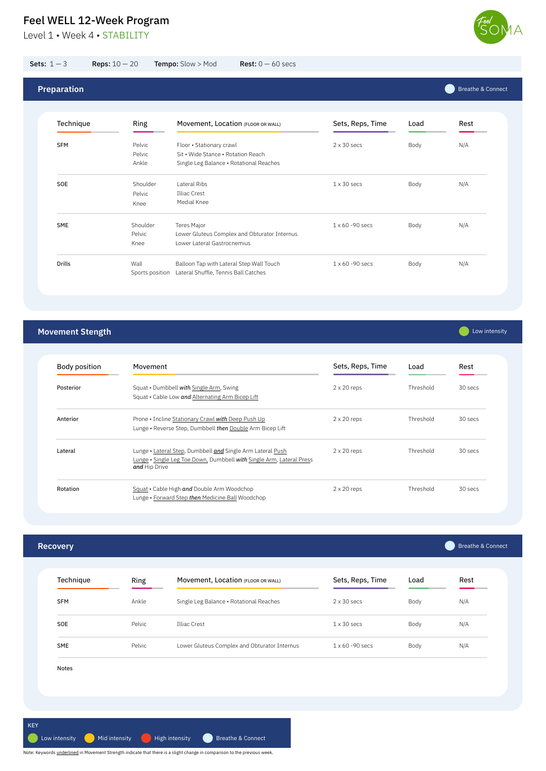Level 1 • Week 4 • STABILITY



| Technique  | Ring   | Movement, Location (FLOOR OR WALL)           | Sets, Reps, Time        | Load | Rest |
|------------|--------|----------------------------------------------|-------------------------|------|------|
| <b>SFM</b> | Ankle  | Single Leg Balance . Rotational Reaches      | $2 \times 30$ secs      | Body | N/A  |
| SOE        | Pelvic | Illiac Crest                                 | $1 \times 30$ secs      | Body | N/A  |
| SME        | Pelvic | Lower Gluteus Complex and Obturator Internus | $1 \times 60 - 90$ secs | Body | N/A  |
| Notes      |        |                                              |                         |      |      |

# **Movement Stength**

| <b>Body position</b> | Movement                                                                                                                                            | Sets, Reps, Time   | Load      | Rest    |
|----------------------|-----------------------------------------------------------------------------------------------------------------------------------------------------|--------------------|-----------|---------|
| Posterior            | Squat • Dumbbell with Single Arm, Swing<br>Squat • Cable Low and Alternating Arm Bicep Lift                                                         | $2 \times 20$ reps | Threshold | 30 secs |
| Anterior             | Prone • Incline Stationary Crawl <i>with</i> Deep Push Up<br>Lunge • Reverse Step, Dumbbell then Double Arm Bicep Lift                              | $2 \times 20$ reps | Threshold | 30 secs |
| Lateral              | Lunge • Lateral Step, Dumbbell and Single Arm Lateral Push<br>Lunge • Single Leg Toe Down, Dumbbell with Single Arm, Lateral Press<br>and Hip Drive | $2 \times 20$ reps | Threshold | 30 secs |
| Rotation             | Squat • Cable High and Double Arm Woodchop<br>Lunge • Forward Step then Medicine Ball Woodchop                                                      | $2 \times 20$ reps | Threshold | 30 secs |

**Communistry** 

| Sets: $1-3$        | <b>Reps:</b> $10 - 20$     | Tempo: Slow > Mod<br><b>Rest:</b> $0 - 60$ secs                                                           |                         |      |                              |
|--------------------|----------------------------|-----------------------------------------------------------------------------------------------------------|-------------------------|------|------------------------------|
| <b>Preparation</b> |                            |                                                                                                           |                         |      | <b>Breathe &amp; Connect</b> |
| Technique          | Ring                       | Movement, Location (FLOOR OR WALL)                                                                        | Sets, Reps, Time        | Load | Rest                         |
| <b>SFM</b>         | Pelvic<br>Pelvic<br>Ankle  | Floor . Stationary crawl<br>Sit • Wide Stance • Rotation Reach<br>Single Leg Balance · Rotational Reaches | $2 \times 30$ secs      | Body | N/A                          |
| SOE                | Shoulder<br>Pelvic<br>Knee | Lateral Ribs<br>Illiac Crest<br>Medial Knee                                                               | $1 \times 30$ secs      | Body | N/A                          |
| <b>SME</b>         | Shoulder<br>Pelvic<br>Knee | Teres Major<br>Lower Gluteus Complex and Obturator Internus<br>Lower Lateral Gastrocnemius                | $1 \times 60 - 90$ secs | Body | N/A                          |
| <b>Drills</b>      | Wall<br>Sports position    | Balloon Tap with Lateral Step Wall Touch<br>Lateral Shuffle, Tennis Ball Catches                          | $1 \times 60 - 90$ secs | Body | N/A                          |

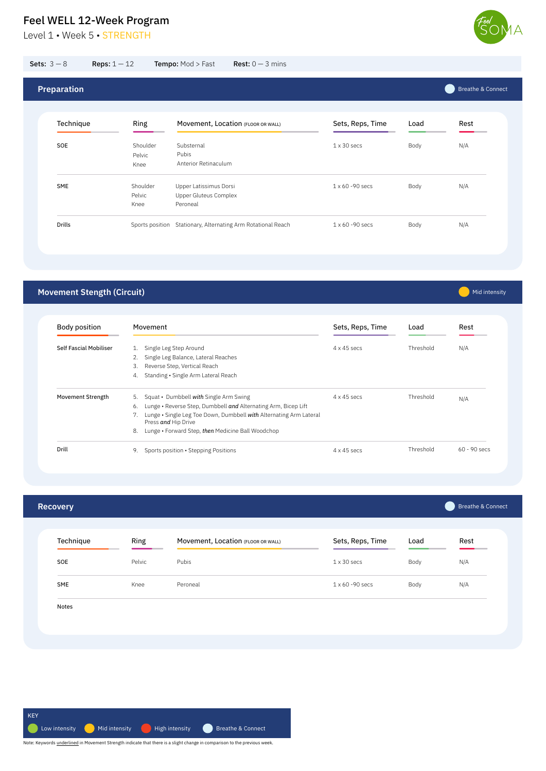Level 1 · Week 5 · STRENGTH



 $on$ nect

Mid intensity

| SME   | Knee | Peroneal | 1 x 60 -90 secs | Body | N/A |
|-------|------|----------|-----------------|------|-----|
|       |      |          |                 |      |     |
| Notes |      |          |                 |      |     |
|       |      |          |                 |      |     |
|       |      |          |                 |      |     |
|       |      |          |                 |      |     |

| <b>Recovery</b> |        |                                    |                    |      | Breathe & Connect |
|-----------------|--------|------------------------------------|--------------------|------|-------------------|
| Technique       | Ring   | Movement, Location (FLOOR OR WALL) | Sets, Reps, Time   | Load | Rest              |
| SOE             | Pelvic | Pubis                              | $1 \times 30$ secs | Body | N/A               |

## **Movement Stength (Circuit)**

| <b>Sets:</b> $3 - 8$ | <b>Reps:</b> $1 - 12$ | <b>Tempo: Mod &gt; Fast</b>     | <b>Rest:</b> $0 - 3$ mins          |                    |      |              |
|----------------------|-----------------------|---------------------------------|------------------------------------|--------------------|------|--------------|
| <b>Preparation</b>   |                       |                                 |                                    |                    |      | Breathe & Co |
| Technique            | Ring                  |                                 | Movement, Location (FLOOR OR WALL) | Sets, Reps, Time   | Load | Rest         |
| <b>SOE</b>           | Pelvic                | Shoulder<br>Substernal<br>Pubis |                                    | $1 \times 30$ secs | Body | N/A          |

Body position Self Fascial Mobiliser Movement 1. Single Leg Step Around 2. Single Leg Balance, Lateral Reaches 3. Reverse Step, Vertical Reach 4. Standing • Single Arm Lateral Reach 4 x 45 secs Threshold N/A M<mark>ovement Strength</mark> 5. Squat • Dumbbell with Single Arm Swing the state of the secs that the Show Squat Poly And N<br>A secs the Show Show National And National State of National And National And National Square of National A Drill 4 x 45 secs Threshold 60 - 90 secs 9. Sports position • Stepping Positions Sets, Reps, Time Load Rest 6. Lunge • Reverse Step, Dumbbell *and* Alternating Arm, Bicep Lift 7. Lunge • Single Leg Toe Down, Dumbbell *with* Alternating Arm Lateral Press *and* Hip Drive 8. Lunge • Forward Step, *then* Medicine Ball Woodchop

SME Shoulder 1 x 60 -90 secs Body N/A Upper Latissimus Dorsi

Drills Sports position Stationary, Alternating Arm Rotational Reach 1 x 60 -90 secs Body Body N/A

Pelvic Knee

Upper Gluteus Complex

Peroneal

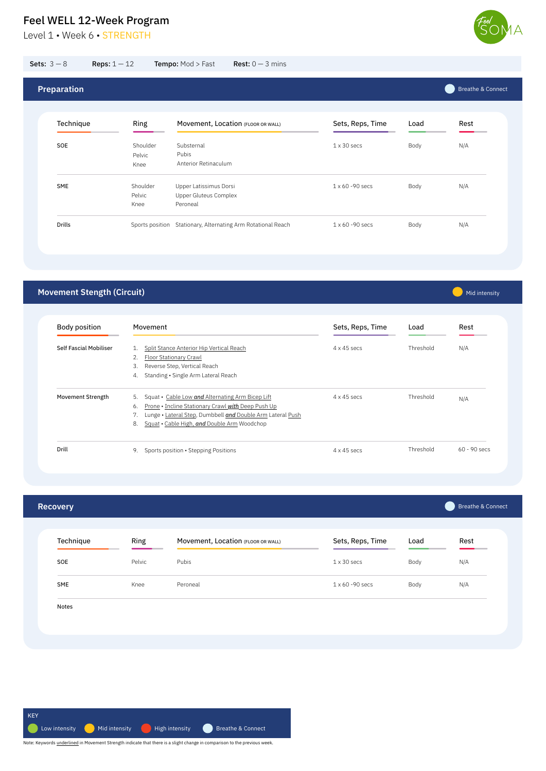Level 1 • Week 6 • STRENGTH



| SME   | Knee | Peroneal | 1 x 60 -90 secs | Body | N/A |
|-------|------|----------|-----------------|------|-----|
|       |      |          |                 |      |     |
| Notes |      |          |                 |      |     |
|       |      |          |                 |      |     |
|       |      |          |                 |      |     |
|       |      |          |                 |      |     |

| <b>Recovery</b> |        |                                    |                    |      | <b>Breathe &amp; Connect</b> |
|-----------------|--------|------------------------------------|--------------------|------|------------------------------|
| Technique       | Ring   | Movement, Location (FLOOR OR WALL) | Sets, Reps, Time   | Load | Rest                         |
| SOE             | Pelvic | Pubis                              | $1 \times 30$ secs | Body | N/A                          |

## **Movement Stength (Circuit)**

| Body position                 | Movement                                                   | Sets, Reps, Time   | Load      | Rest           |  |
|-------------------------------|------------------------------------------------------------|--------------------|-----------|----------------|--|
| <b>Self Fascial Mobiliser</b> | Split Stance Anterior Hip Vertical Reach<br>1.             | $4 \times 45$ secs | Threshold | N/A            |  |
|                               | Floor Stationary Crawl<br>2.                               |                    |           |                |  |
|                               | Reverse Step, Vertical Reach<br>3.                         |                    |           |                |  |
|                               | Standing • Single Arm Lateral Reach<br>4.                  |                    |           |                |  |
| Movement Strength             | Squat • Cable Low and Alternating Arm Bicep Lift<br>5.     | $4 \times 45$ secs | Threshold | N/A            |  |
|                               | Prone • Incline Stationary Crawl with Deep Push Up<br>6.   |                    |           |                |  |
|                               | Lunge • Lateral Step, Dumbbell and Double Arm Lateral Push |                    |           |                |  |
|                               | Squat • Cable High, and Double Arm Woodchop<br>8.          |                    |           |                |  |
| Drill                         | Sports position • Stepping Positions<br>9.                 | $4 \times 45$ secs | Threshold | $60 - 90$ secs |  |

| <b>Sets:</b> $3 - 8$ | <b>Reps:</b> $1 - 12$      | Tempo: Mod > Fast                                      | <b>Rest:</b> $0 - 3$ mins          |                         |      |                              |
|----------------------|----------------------------|--------------------------------------------------------|------------------------------------|-------------------------|------|------------------------------|
| <b>Preparation</b>   |                            |                                                        |                                    |                         |      | <b>Breathe &amp; Connect</b> |
| Technique            | Ring                       |                                                        | Movement, Location (FLOOR OR WALL) | Sets, Reps, Time        | Load | Rest                         |
| SOE                  | Shoulder<br>Pelvic<br>Knee | Substernal<br>Pubis<br>Anterior Retinaculum            |                                    | $1 \times 30$ secs      | Body | N/A                          |
| <b>SME</b>           | Shoulder<br>Pelvic         | Upper Latissimus Dorsi<br><b>Upper Gluteus Complex</b> |                                    | $1 \times 60 - 90$ secs | Body | N/A                          |

Drills Sports position Stationary, Alternating Arm Rotational Reach 1 x 60 -90 secs Body Body N/A

Knee

Peroneal

**Mid intensity** 

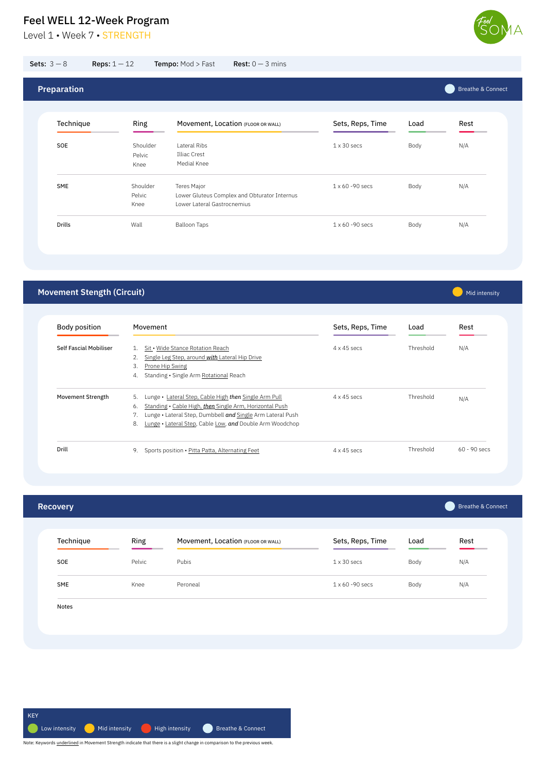Level 1 · Week 7 · STRENGTH



Breathe & Connect

**Mid intensity** 

| SME   | Knee | Peroneal | 1 x 60 -90 secs | Body | N/A |
|-------|------|----------|-----------------|------|-----|
|       |      |          |                 |      |     |
| Notes |      |          |                 |      |     |
|       |      |          |                 |      |     |
|       |      |          |                 |      |     |
|       |      |          |                 |      |     |

| <b>Recovery</b> |        |                                    |                    |      | Breathe & Connect |
|-----------------|--------|------------------------------------|--------------------|------|-------------------|
| Technique       | Ring   | Movement, Location (FLOOR OR WALL) | Sets, Reps, Time   | Load | Rest              |
| SOE             | Pelvic | Pubis                              | $1 \times 30$ secs | Body | N/A               |

## **Movement Stength (Circuit)**

| Sets: $3-8$        | <b>Reps:</b> $1-12$ <b>Tempo:</b> Mod > Fast <b>Rest:</b> $0-3$ mins |  |
|--------------------|----------------------------------------------------------------------|--|
|                    |                                                                      |  |
| <b>Preparation</b> |                                                                      |  |

Body position Self Fascial Mobiliser Movement 1. Sit · Wide Stance Rotation Reach 2. Single Leg Step, around *with* Lateral Hip Drive 3. Prone Hip Swing 4. Standing • Single Arm Rotational Reach 4 x 45 secs Threshold N/A M<mark>ovement Strength</mark> 5. Lunge • <u>Lateral Step, Cable High</u> *then* <u>Single Arm Pull</u> 4 x 45 secs Threshold <sub>N/A</sub> Drill 4 x 45 secs Threshold 60 - 90 secs 9. Sports position • Pitta Patta, Alternating Feet Sets, Reps, Time Load Rest 6. Standing • Cable High, *then* Single Arm, Horizontal Push 7. Lunge • Lateral Step, Dumbbell *and* Single Arm Lateral Push 8. Lunge • Lateral Step, Cable Low, *and* Double Arm Woodchop

| Technique     | Ring     | Movement, Location (FLOOR OR WALL)           | Sets, Reps, Time        | Load | Rest |
|---------------|----------|----------------------------------------------|-------------------------|------|------|
| SOE           | Shoulder | Lateral Ribs                                 | $1 \times 30$ secs      | Body | N/A  |
|               | Pelvic   | Illiac Crest                                 |                         |      |      |
|               | Knee     | Medial Knee                                  |                         |      |      |
| <b>SME</b>    | Shoulder | <b>Teres Major</b>                           | $1 \times 60 - 90$ secs | Body | N/A  |
|               | Pelvic   | Lower Gluteus Complex and Obturator Internus |                         |      |      |
|               | Knee     | Lower Lateral Gastrocnemius                  |                         |      |      |
| <b>Drills</b> | Wall     | <b>Balloon Taps</b>                          | $1 \times 60 - 90$ secs | Body | N/A  |

![](_page_6_Figure_9.jpeg)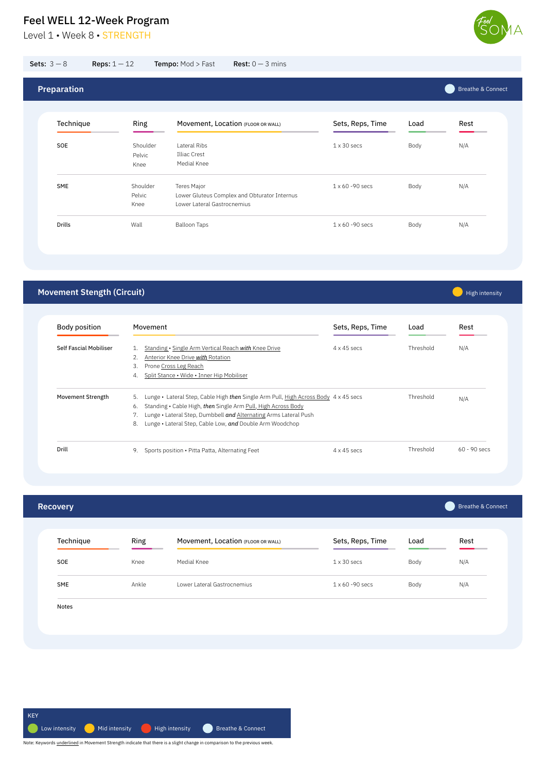Level 1 • Week 8 • STRENGTH

High intensity

| SME   | Ankle | Lower Lateral Gastrocnemius | 1 x 60 -90 secs | Body | N/A |  |
|-------|-------|-----------------------------|-----------------|------|-----|--|
|       |       |                             |                 |      |     |  |
| Notes |       |                             |                 |      |     |  |
|       |       |                             |                 |      |     |  |
|       |       |                             |                 |      |     |  |
|       |       |                             |                 |      |     |  |

| <b>Recovery</b> |      |                                    |                    |      | Breathe & Connect |
|-----------------|------|------------------------------------|--------------------|------|-------------------|
| Technique       | Ring | Movement, Location (FLOOR OR WALL) | Sets, Reps, Time   | Load | Rest              |
| SOE             | Knee | Medial Knee                        | $1 \times 30$ secs | Body | N/A               |

## **Movement Stength (Circuit)**

| <b>Body position</b>          | Movement                                                                                  | Sets, Reps, Time   | Load      | Rest           |  |
|-------------------------------|-------------------------------------------------------------------------------------------|--------------------|-----------|----------------|--|
| <b>Self Fascial Mobiliser</b> | Standing • Single Arm Vertical Reach with Knee Drive<br>1.                                | $4 \times 45$ secs | Threshold | N/A            |  |
|                               | Anterior Knee Drive with Rotation<br>2.                                                   |                    |           |                |  |
|                               | 3.<br>Prone Cross Leg Reach                                                               |                    |           |                |  |
|                               | Split Stance • Wide • Inner Hip Mobiliser<br>4.                                           |                    |           |                |  |
| Movement Strength             | 5.<br>Lunge • Lateral Step, Cable High then Single Arm Pull, High Across Body 4 x 45 secs |                    | Threshold | N/A            |  |
|                               | Standing • Cable High, then Single Arm Pull, High Across Body<br>6.                       |                    |           |                |  |
|                               | Lunge • Lateral Step, Dumbbell and Alternating Arms Lateral Push<br>7.                    |                    |           |                |  |
|                               | Lunge • Lateral Step, Cable Low, and Double Arm Woodchop<br>8.                            |                    |           |                |  |
| Drill                         | Sports position • Pitta Patta, Alternating Feet<br>9.                                     | $4 \times 45$ secs | Threshold | $60 - 90$ secs |  |

| <b>Preparation</b> |  | Breathe & Connect |
|--------------------|--|-------------------|
|                    |  |                   |

| Ring     | Movement, Location (FLOOR OR WALL)           | Sets, Reps, Time        | Load | Rest |
|----------|----------------------------------------------|-------------------------|------|------|
| Shoulder | Lateral Ribs                                 | $1 \times 30$ secs      | Body | N/A  |
| Pelvic   | Illiac Crest                                 |                         |      |      |
| Knee     | Medial Knee                                  |                         |      |      |
| Shoulder | Teres Major                                  | $1 \times 60 - 90$ secs | Body | N/A  |
| Pelvic   | Lower Gluteus Complex and Obturator Internus |                         |      |      |
| Knee     | Lower Lateral Gastrocnemius                  |                         |      |      |
| Wall     | <b>Balloon Taps</b>                          | $1 \times 60 - 90$ secs | Body | N/A  |
|          |                                              |                         |      |      |

![](_page_7_Figure_9.jpeg)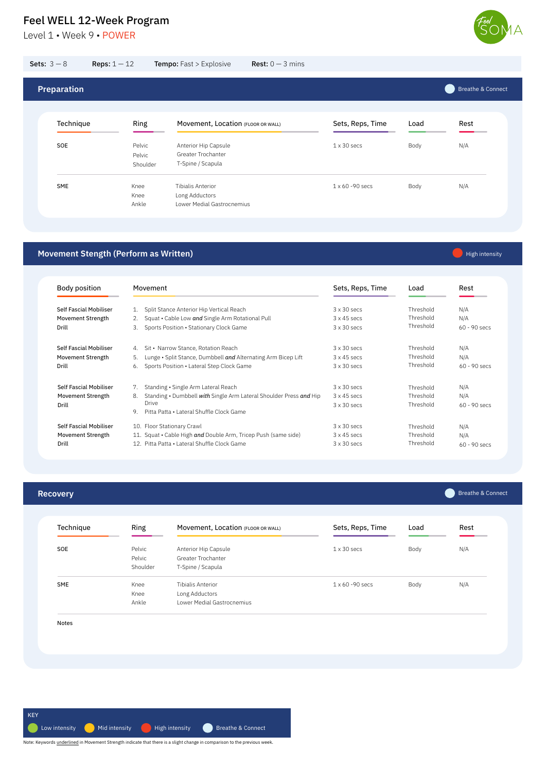Level 1 • Week 9 • POWER

![](_page_8_Picture_2.jpeg)

### **Recovery**

Breathe & Connect

| Technique  | <b>Ring</b>                  | Movement, Location (FLOOR OR WALL)                              | Sets, Reps, Time   | Load | Rest |
|------------|------------------------------|-----------------------------------------------------------------|--------------------|------|------|
| <b>SOE</b> | Pelvic<br>Pelvic<br>Shoulder | Anterior Hip Capsule<br>Greater Trochanter<br>T-Spine / Scapula | $1 \times 30$ secs | Body | N/A  |

|       | Knee  |                            |  |  |
|-------|-------|----------------------------|--|--|
|       |       | Long Adductors             |  |  |
|       | Ankle | Lower Medial Gastrocnemius |  |  |
|       |       |                            |  |  |
|       |       |                            |  |  |
| Notes |       |                            |  |  |
|       |       |                            |  |  |
|       |       |                            |  |  |
|       |       |                            |  |  |
|       |       |                            |  |  |

### **Movement Stength (Perform as Written)**

High intensity

| <b>Sets:</b> $3 - 8$ | <b>Reps:</b> $1 - 12$        | <b>Tempo:</b> Fast > Explosive                                         | <b>Rest:</b> $0 - 3$ mins |                         |      |                              |
|----------------------|------------------------------|------------------------------------------------------------------------|---------------------------|-------------------------|------|------------------------------|
| <b>Preparation</b>   |                              |                                                                        |                           |                         |      | <b>Breathe &amp; Connect</b> |
| Technique            | Ring                         | Movement, Location (FLOOR OR WALL)                                     |                           | Sets, Reps, Time        | Load | Rest                         |
| SOE                  | Pelvic<br>Pelvic<br>Shoulder | Anterior Hip Capsule<br><b>Greater Trochanter</b><br>T-Spine / Scapula |                           | $1 \times 30$ secs      | Body | N/A                          |
| SME                  | Knee<br>Knee<br>Ankle        | Tibialis Anterior<br>Long Adductors<br>Lower Medial Gastrocnemius      |                           | $1 \times 60 - 90$ secs | Body | N/A                          |

Body position Self Fascial Mobiliser Movement Strength Drill Movement 1. Split Stance Anterior Hip Vertical Reach 2. Squat • Cable Low *and* Single Arm Rotational Pull 3. Sports Position • Stationary Clock Game 3 x 30 secs 3 x 45 secs 3 x 30 secs Threshold Threshold Threshold N/A N/A 60 - 90 secs Sets, Reps, Time Load Rest Self Fascial Mobiliser Movement Strength Drill 4. Sit • Narrow Stance, Rotation Reach 5. Lunge • Split Stance, Dumbbell *and* Alternating Arm Bicep Lift 6. Sports Position • Lateral Step Clock Game 3 x 30 secs 3 x 45 secs 3 x 30 secs Threshold Threshold Threshold N/A N/A 60 - 90 secs Self Fascial Mobiliser Movement Strength Drill Self Fascial Mobiliser Movement Strength Drill 7. Standing • Single Arm Lateral Reach 8. Standing • Dumbbell *with* Single Arm Lateral Shoulder Press *and* Hip Drive 9. Pitta Patta • Lateral Shuffle Clock Game 10. Floor Stationary Crawl 11. Squat • Cable High *and* Double Arm, Tricep Push (same side) 12. Pitta Patta • Lateral Shuffle Clock Game 3 x 30 secs 3 x 45 secs 3 x 30 secs 3 x 30 secs 3 x 45 secs 3 x 30 secs Threshold Threshold Threshold Threshold Threshold Threshold N/A N/A 60 - 90 secs N/A N/A 60 - 90 secs

![](_page_8_Figure_10.jpeg)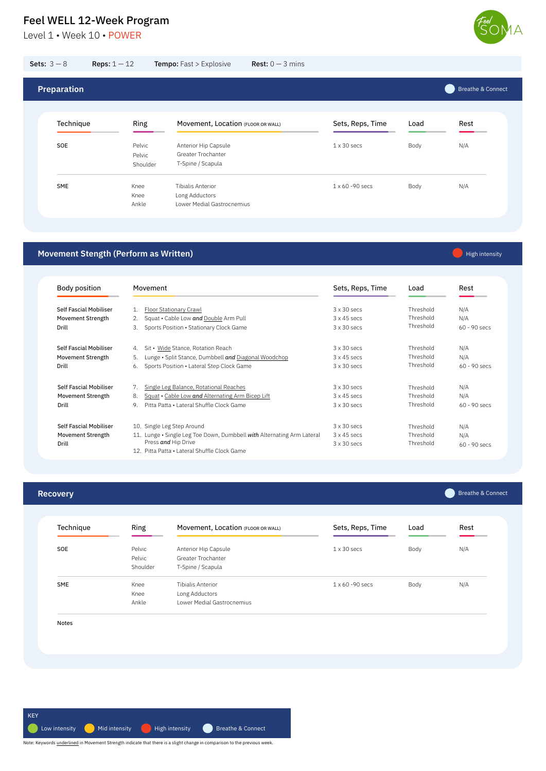Level 1 • Week 10 • POWER

![](_page_9_Picture_2.jpeg)

### **Recovery**

Breathe & Connect

| Technique | Ring                         | Movement, Location (FLOOR OR WALL)                              | Sets, Reps, Time   | Load | Rest |
|-----------|------------------------------|-----------------------------------------------------------------|--------------------|------|------|
| SOE       | Pelvic<br>Pelvic<br>Shoulder | Anterior Hip Capsule<br>Greater Trochanter<br>T-Spine / Scapula | $1 \times 30$ secs | Body | N/A  |

|       | Knee  | Long Adductors             |  |  |
|-------|-------|----------------------------|--|--|
|       | Ankle | Lower Medial Gastrocnemius |  |  |
|       |       |                            |  |  |
|       |       |                            |  |  |
|       |       |                            |  |  |
| Notes |       |                            |  |  |
|       |       |                            |  |  |
|       |       |                            |  |  |
|       |       |                            |  |  |
|       |       |                            |  |  |

### **Movement Stength (Perform as Written)**

High intensity

| <b>Sets:</b> $3 - 8$ | Reps: $1 - 12$               | <b>Tempo:</b> Fast > Explosive                                    | <b>Rest:</b> $0 - 3$ mins |                         |      |                              |
|----------------------|------------------------------|-------------------------------------------------------------------|---------------------------|-------------------------|------|------------------------------|
| <b>Preparation</b>   |                              |                                                                   |                           |                         |      | <b>Breathe &amp; Connect</b> |
| Technique            | Ring                         | Movement, Location (FLOOR OR WALL)                                |                           | Sets, Reps, Time        | Load | Rest                         |
| SOE                  | Pelvic<br>Pelvic<br>Shoulder | Anterior Hip Capsule<br>Greater Trochanter<br>T-Spine / Scapula   |                           | $1 \times 30$ secs      | Body | N/A                          |
| SME                  | Knee<br>Knee<br>Ankle        | Tibialis Anterior<br>Long Adductors<br>Lower Medial Gastrocnemius |                           | $1 \times 60 - 90$ secs | Body | N/A                          |

Body position Self Fascial Mobiliser Movement Strength Drill Movement 1. Floor Stationary Crawl 2. Squat • Cable Low *and* Double Arm Pull 3. Sports Position • Stationary Clock Game 3 x 30 secs 3 x 45 secs 3 x 30 secs Threshold Threshold Threshold N/A N/A 60 - 90 secs Sets, Reps, Time Load Rest Self Fascial Mobiliser Movement Strength Drill 4. Sit • Wide Stance, Rotation Reach 5. Lunge • Split Stance, Dumbbell *and* Diagonal Woodchop 6. Sports Position • Lateral Step Clock Game 3 x 30 secs 3 x 45 secs 3 x 30 secs Threshold Threshold Threshold N/A N/A 60 - 90 secs Self Fascial Mobiliser Movement Strength Drill Self Fascial Mobiliser Movement Strength Drill 7. Single Leg Balance, Rotational Reaches 8. Squat • Cable Low *and* Alternating Arm Bicep Lift 9. Pitta Patta • Lateral Shuffle Clock Game 10. Single Leg Step Around 11. Lunge • Single Leg Toe Down, Dumbbell *with* Alternating Arm Lateral Press *and* Hip Drive 12. Pitta Patta • Lateral Shuffle Clock Game 3 x 30 secs 3 x 45 secs 3 x 30 secs 3 x 30 secs 3 x 45 secs 3 x 30 secs Threshold Threshold Threshold Threshold Threshold Threshold N/A N/A 60 - 90 secs N/A N/A 60 - 90 secs

![](_page_9_Figure_10.jpeg)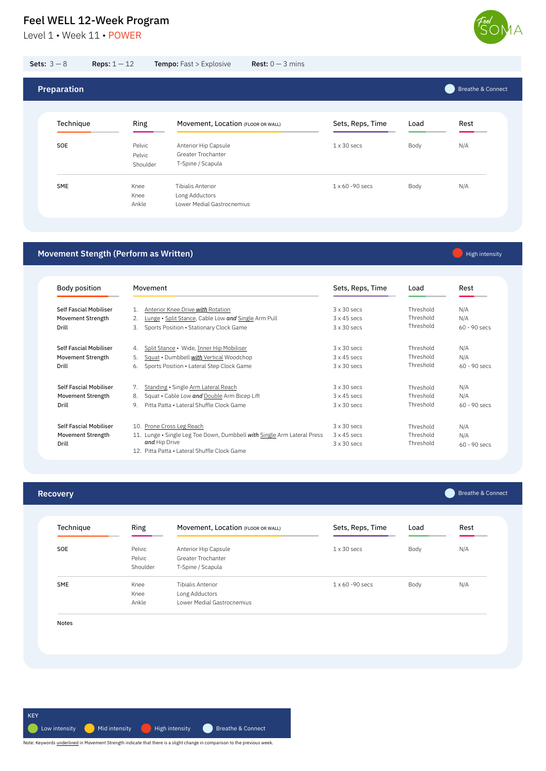Level 1 • Week 11 • POWER

![](_page_10_Picture_2.jpeg)

### **Recovery**

Breathe & Connect

| Technique | Ring                         | Movement, Location (FLOOR OR WALL)                              | Sets, Reps, Time   | Load | Rest |
|-----------|------------------------------|-----------------------------------------------------------------|--------------------|------|------|
| SOE       | Pelvic<br>Pelvic<br>Shoulder | Anterior Hip Capsule<br>Greater Trochanter<br>T-Spine / Scapula | $1 \times 30$ secs | Body | N/A  |

|       | Knee  | Long Adductors             |  |  |
|-------|-------|----------------------------|--|--|
|       | Ankle | Lower Medial Gastrocnemius |  |  |
|       |       |                            |  |  |
|       |       |                            |  |  |
|       |       |                            |  |  |
| Notes |       |                            |  |  |
|       |       |                            |  |  |
|       |       |                            |  |  |
|       |       |                            |  |  |
|       |       |                            |  |  |

### **Movement Stength (Perform as Written)**

High intensity

| <b>Sets:</b> $3 - 8$ | <b>Reps:</b> $1 - 12$        | <b>Tempo:</b> Fast > Explosive                                           | <b>Rest:</b> $0 - 3$ mins |                         |      |                              |
|----------------------|------------------------------|--------------------------------------------------------------------------|---------------------------|-------------------------|------|------------------------------|
| <b>Preparation</b>   |                              |                                                                          |                           |                         |      | <b>Breathe &amp; Connect</b> |
| Technique            | Ring                         | Movement, Location (FLOOR OR WALL)                                       |                           | Sets, Reps, Time        | Load | Rest                         |
| SOE                  | Pelvic<br>Pelvic<br>Shoulder | Anterior Hip Capsule<br><b>Greater Trochanter</b><br>T-Spine / Scapula   |                           | $1 \times 30$ secs      | Body | N/A                          |
| SME                  | Knee<br>Knee<br>Ankle        | <b>Tibialis Anterior</b><br>Long Adductors<br>Lower Medial Gastrocnemius |                           | $1 \times 60 - 90$ secs | Body | N/A                          |

Body position Self Fascial Mobiliser Movement Strength Drill Movement 1. Anterior Knee Drive *with* Rotation 2. Lunge • Split Stance, Cable Low *and* Single Arm Pull 3. Sports Position • Stationary Clock Game 3 x 30 secs 3 x 45 secs 3 x 30 secs Threshold Threshold Threshold N/A N/A 60 - 90 secs Sets, Reps, Time Load Rest Self Fascial Mobiliser Movement Strength Drill 4. Split Stance • Wide, Inner Hip Mobiliser 5. Squat • Dumbbell *with* Vertical Woodchop 6. Sports Position • Lateral Step Clock Game 3 x 30 secs 3 x 45 secs 3 x 30 secs Threshold Threshold Threshold N/A N/A 60 - 90 secs Self Fascial Mobiliser Movement Strength Drill Self Fascial Mobiliser Movement Strength Drill 7. Standing · Single Arm Lateral Reach 8. Squat • Cable Low and Double Arm Bicep Lift 9. Pitta Patta • Lateral Shuffle Clock Game 10. Prone Cross Leg Reach 11. Lunge • Single Leg Toe Down, Dumbbell *with* Single Arm Lateral Press *and* Hip Drive 12. Pitta Patta • Lateral Shuffle Clock Game 3 x 30 secs 3 x 45 secs 3 x 30 secs 3 x 30 secs 3 x 45 secs 3 x 30 secs Threshold Threshold Threshold Threshold Threshold Threshold N/A N/A 60 - 90 secs N/A N/A 60 - 90 secs

![](_page_10_Figure_10.jpeg)